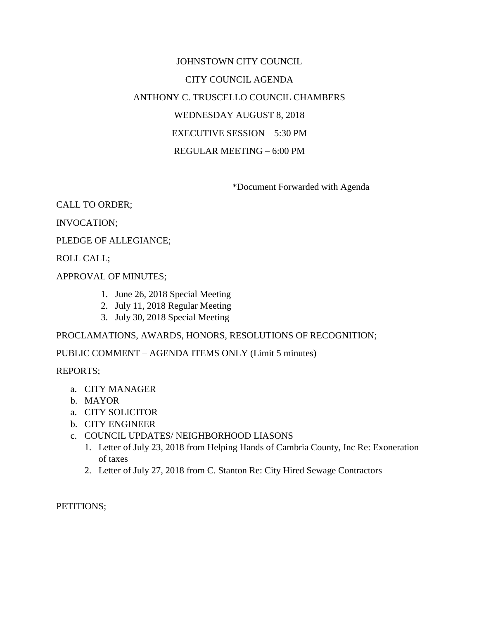# JOHNSTOWN CITY COUNCIL CITY COUNCIL AGENDA ANTHONY C. TRUSCELLO COUNCIL CHAMBERS WEDNESDAY AUGUST 8, 2018 EXECUTIVE SESSION – 5:30 PM REGULAR MEETING – 6:00 PM

\*Document Forwarded with Agenda

## CALL TO ORDER;

## INVOCATION;

## PLEDGE OF ALLEGIANCE;

## ROLL CALL;

## APPROVAL OF MINUTES;

- 1. June 26, 2018 Special Meeting
- 2. July 11, 2018 Regular Meeting
- 3. July 30, 2018 Special Meeting

## PROCLAMATIONS, AWARDS, HONORS, RESOLUTIONS OF RECOGNITION;

## PUBLIC COMMENT – AGENDA ITEMS ONLY (Limit 5 minutes)

### REPORTS;

- a. CITY MANAGER
- b. MAYOR
- a. CITY SOLICITOR
- b. CITY ENGINEER
- c. COUNCIL UPDATES/ NEIGHBORHOOD LIASONS
	- 1. Letter of July 23, 2018 from Helping Hands of Cambria County, Inc Re: Exoneration of taxes
	- 2. Letter of July 27, 2018 from C. Stanton Re: City Hired Sewage Contractors

PETITIONS;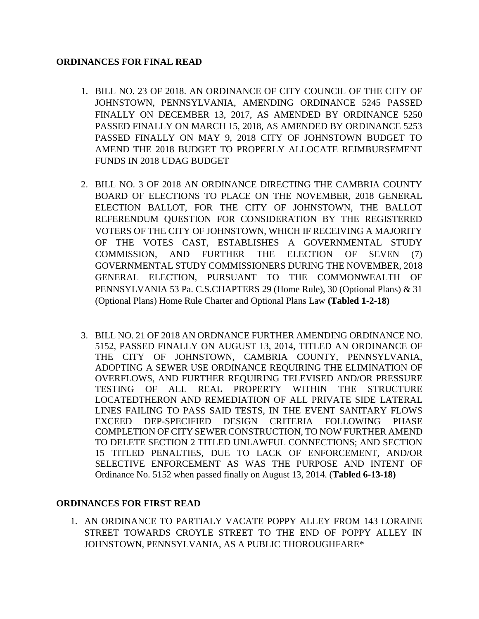## **ORDINANCES FOR FINAL READ**

- 1. BILL NO. 23 OF 2018. AN ORDINANCE OF CITY COUNCIL OF THE CITY OF JOHNSTOWN, PENNSYLVANIA, AMENDING ORDINANCE 5245 PASSED FINALLY ON DECEMBER 13, 2017, AS AMENDED BY ORDINANCE 5250 PASSED FINALLY ON MARCH 15, 2018, AS AMENDED BY ORDINANCE 5253 PASSED FINALLY ON MAY 9, 2018 CITY OF JOHNSTOWN BUDGET TO AMEND THE 2018 BUDGET TO PROPERLY ALLOCATE REIMBURSEMENT FUNDS IN 2018 UDAG BUDGET
- 2. BILL NO. 3 OF 2018 AN ORDINANCE DIRECTING THE CAMBRIA COUNTY BOARD OF ELECTIONS TO PLACE ON THE NOVEMBER, 2018 GENERAL ELECTION BALLOT, FOR THE CITY OF JOHNSTOWN, THE BALLOT REFERENDUM QUESTION FOR CONSIDERATION BY THE REGISTERED VOTERS OF THE CITY OF JOHNSTOWN, WHICH IF RECEIVING A MAJORITY OF THE VOTES CAST, ESTABLISHES A GOVERNMENTAL STUDY COMMISSION, AND FURTHER THE ELECTION OF SEVEN (7) GOVERNMENTAL STUDY COMMISSIONERS DURING THE NOVEMBER, 2018 GENERAL ELECTION, PURSUANT TO THE COMMONWEALTH OF PENNSYLVANIA 53 Pa. C.S.CHAPTERS 29 (Home Rule), 30 (Optional Plans) & 31 (Optional Plans) Home Rule Charter and Optional Plans Law **(Tabled 1-2-18)**
- 3. BILL NO. 21 OF 2018 AN ORDNANCE FURTHER AMENDING ORDINANCE NO. 5152, PASSED FINALLY ON AUGUST 13, 2014, TITLED AN ORDINANCE OF THE CITY OF JOHNSTOWN, CAMBRIA COUNTY, PENNSYLVANIA, ADOPTING A SEWER USE ORDINANCE REQUIRING THE ELIMINATION OF OVERFLOWS, AND FURTHER REQUIRING TELEVISED AND/OR PRESSURE TESTING OF ALL REAL PROPERTY WITHIN THE STRUCTURE LOCATEDTHERON AND REMEDIATION OF ALL PRIVATE SIDE LATERAL LINES FAILING TO PASS SAID TESTS, IN THE EVENT SANITARY FLOWS EXCEED DEP-SPECIFIED DESIGN CRITERIA FOLLOWING PHASE COMPLETION OF CITY SEWER CONSTRUCTION, TO NOW FURTHER AMEND TO DELETE SECTION 2 TITLED UNLAWFUL CONNECTIONS; AND SECTION 15 TITLED PENALTIES, DUE TO LACK OF ENFORCEMENT, AND/OR SELECTIVE ENFORCEMENT AS WAS THE PURPOSE AND INTENT OF Ordinance No. 5152 when passed finally on August 13, 2014. (**Tabled 6-13-18)**

## **ORDINANCES FOR FIRST READ**

1. AN ORDINANCE TO PARTIALY VACATE POPPY ALLEY FROM 143 LORAINE STREET TOWARDS CROYLE STREET TO THE END OF POPPY ALLEY IN JOHNSTOWN, PENNSYLVANIA, AS A PUBLIC THOROUGHFARE\*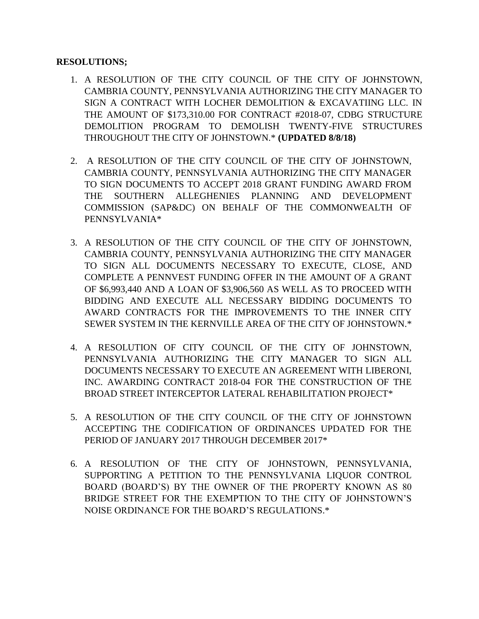## **RESOLUTIONS;**

- 1. A RESOLUTION OF THE CITY COUNCIL OF THE CITY OF JOHNSTOWN, CAMBRIA COUNTY, PENNSYLVANIA AUTHORIZING THE CITY MANAGER TO SIGN A CONTRACT WITH LOCHER DEMOLITION & EXCAVATIING LLC. IN THE AMOUNT OF \$173,310.00 FOR CONTRACT #2018-07, CDBG STRUCTURE DEMOLITION PROGRAM TO DEMOLISH TWENTY-FIVE STRUCTURES THROUGHOUT THE CITY OF JOHNSTOWN.\* **(UPDATED 8/8/18)**
- 2. A RESOLUTION OF THE CITY COUNCIL OF THE CITY OF JOHNSTOWN, CAMBRIA COUNTY, PENNSYLVANIA AUTHORIZING THE CITY MANAGER TO SIGN DOCUMENTS TO ACCEPT 2018 GRANT FUNDING AWARD FROM THE SOUTHERN ALLEGHENIES PLANNING AND DEVELOPMENT COMMISSION (SAP&DC) ON BEHALF OF THE COMMONWEALTH OF PENNSYLVANIA\*
- 3. A RESOLUTION OF THE CITY COUNCIL OF THE CITY OF JOHNSTOWN, CAMBRIA COUNTY, PENNSYLVANIA AUTHORIZING THE CITY MANAGER TO SIGN ALL DOCUMENTS NECESSARY TO EXECUTE, CLOSE, AND COMPLETE A PENNVEST FUNDING OFFER IN THE AMOUNT OF A GRANT OF \$6,993,440 AND A LOAN OF \$3,906,560 AS WELL AS TO PROCEED WITH BIDDING AND EXECUTE ALL NECESSARY BIDDING DOCUMENTS TO AWARD CONTRACTS FOR THE IMPROVEMENTS TO THE INNER CITY SEWER SYSTEM IN THE KERNVILLE AREA OF THE CITY OF JOHNSTOWN.\*
- 4. A RESOLUTION OF CITY COUNCIL OF THE CITY OF JOHNSTOWN, PENNSYLVANIA AUTHORIZING THE CITY MANAGER TO SIGN ALL DOCUMENTS NECESSARY TO EXECUTE AN AGREEMENT WITH LIBERONI, INC. AWARDING CONTRACT 2018-04 FOR THE CONSTRUCTION OF THE BROAD STREET INTERCEPTOR LATERAL REHABILITATION PROJECT\*
- 5. A RESOLUTION OF THE CITY COUNCIL OF THE CITY OF JOHNSTOWN ACCEPTING THE CODIFICATION OF ORDINANCES UPDATED FOR THE PERIOD OF JANUARY 2017 THROUGH DECEMBER 2017\*
- 6. A RESOLUTION OF THE CITY OF JOHNSTOWN, PENNSYLVANIA, SUPPORTING A PETITION TO THE PENNSYLVANIA LIQUOR CONTROL BOARD (BOARD'S) BY THE OWNER OF THE PROPERTY KNOWN AS 80 BRIDGE STREET FOR THE EXEMPTION TO THE CITY OF JOHNSTOWN'S NOISE ORDINANCE FOR THE BOARD'S REGULATIONS.\*